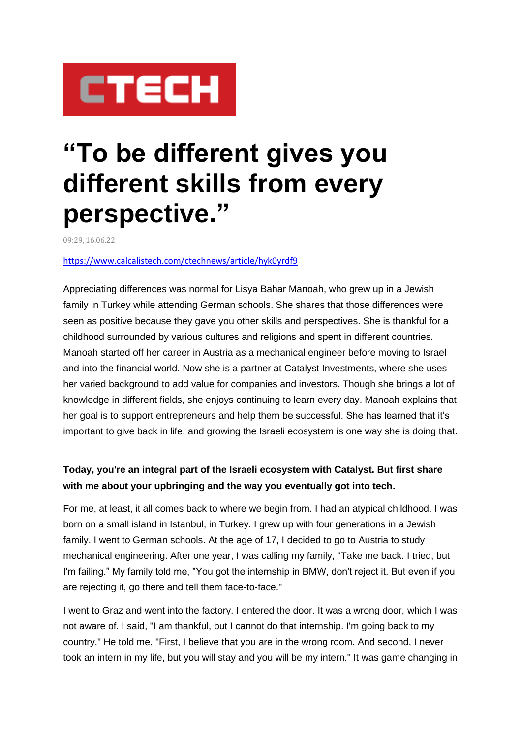

# **"To be different gives you different skills from every perspective."**

09:29, 16.06.22

#### <https://www.calcalistech.com/ctechnews/article/hyk0yrdf9>

Appreciating differences was normal for Lisya Bahar Manoah, who grew up in a Jewish family in Turkey while attending German schools. She shares that those differences were seen as positive because they gave you other skills and perspectives. She is thankful for a childhood surrounded by various cultures and religions and spent in different countries. Manoah started off her career in Austria as a mechanical engineer before moving to Israel and into the financial world. Now she is a partner at Catalyst Investments, where she uses her varied background to add value for companies and investors. Though she brings a lot of knowledge in different fields, she enjoys continuing to learn every day. Manoah explains that her goal is to support entrepreneurs and help them be successful. She has learned that it's important to give back in life, and growing the Israeli ecosystem is one way she is doing that.

# **Today, you're an integral part of the Israeli ecosystem with Catalyst. But first share with me about your upbringing and the way you eventually got into tech.**

For me, at least, it all comes back to where we begin from. I had an atypical childhood. I was born on a small island in Istanbul, in Turkey. I grew up with four generations in a Jewish family. I went to German schools. At the age of 17, I decided to go to Austria to study mechanical engineering. After one year, I was calling my family, "Take me back. I tried, but I'm failing." My family told me, "You got the internship in BMW, don't reject it. But even if you are rejecting it, go there and tell them face-to-face."

I went to Graz and went into the factory. I entered the door. It was a wrong door, which I was not aware of. I said, "I am thankful, but I cannot do that internship. I'm going back to my country." He told me, "First, I believe that you are in the wrong room. And second, I never took an intern in my life, but you will stay and you will be my intern." It was game changing in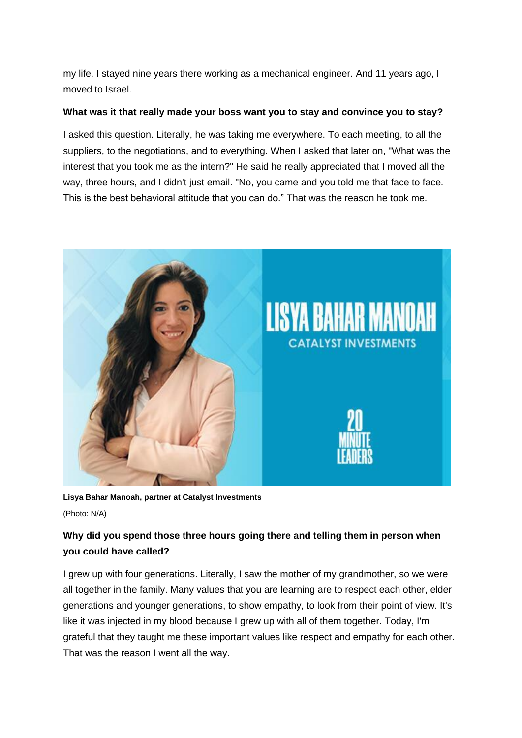my life. I stayed nine years there working as a mechanical engineer. And 11 years ago, I moved to Israel.

### **What was it that really made your boss want you to stay and convince you to stay?**

I asked this question. Literally, he was taking me everywhere. To each meeting, to all the suppliers, to the negotiations, and to everything. When I asked that later on, "What was the interest that you took me as the intern?" He said he really appreciated that I moved all the way, three hours, and I didn't just email. "No, you came and you told me that face to face. This is the best behavioral attitude that you can do." That was the reason he took me.



**Lisya Bahar Manoah, partner at Catalyst Investments** (Photo: N/A)

# **Why did you spend those three hours going there and telling them in person when you could have called?**

I grew up with four generations. Literally, I saw the mother of my grandmother, so we were all together in the family. Many values that you are learning are to respect each other, elder generations and younger generations, to show empathy, to look from their point of view. It's like it was injected in my blood because I grew up with all of them together. Today, I'm grateful that they taught me these important values like respect and empathy for each other. That was the reason I went all the way.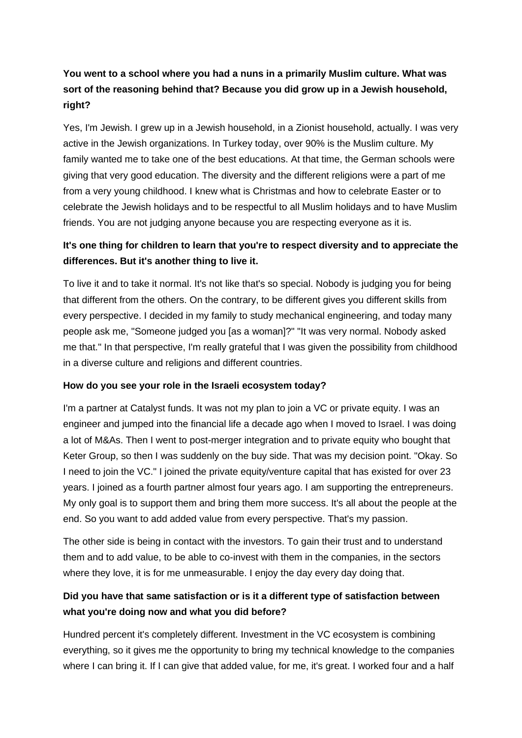# **You went to a school where you had a nuns in a primarily Muslim culture. What was sort of the reasoning behind that? Because you did grow up in a Jewish household, right?**

Yes, I'm Jewish. I grew up in a Jewish household, in a Zionist household, actually. I was very active in the Jewish organizations. In Turkey today, over 90% is the Muslim culture. My family wanted me to take one of the best educations. At that time, the German schools were giving that very good education. The diversity and the different religions were a part of me from a very young childhood. I knew what is Christmas and how to celebrate Easter or to celebrate the Jewish holidays and to be respectful to all Muslim holidays and to have Muslim friends. You are not judging anyone because you are respecting everyone as it is.

# **It's one thing for children to learn that you're to respect diversity and to appreciate the differences. But it's another thing to live it.**

To live it and to take it normal. It's not like that's so special. Nobody is judging you for being that different from the others. On the contrary, to be different gives you different skills from every perspective. I decided in my family to study mechanical engineering, and today many people ask me, "Someone judged you [as a woman]?" "It was very normal. Nobody asked me that." In that perspective, I'm really grateful that I was given the possibility from childhood in a diverse culture and religions and different countries.

## **How do you see your role in the Israeli ecosystem today?**

I'm a partner at Catalyst funds. It was not my plan to join a VC or private equity. I was an engineer and jumped into the financial life a decade ago when I moved to Israel. I was doing a lot of M&As. Then I went to post-merger integration and to private equity who bought that Keter Group, so then I was suddenly on the buy side. That was my decision point. "Okay. So I need to join the VC." I joined the private equity/venture capital that has existed for over 23 years. I joined as a fourth partner almost four years ago. I am supporting the entrepreneurs. My only goal is to support them and bring them more success. It's all about the people at the end. So you want to add added value from every perspective. That's my passion.

The other side is being in contact with the investors. To gain their trust and to understand them and to add value, to be able to co-invest with them in the companies, in the sectors where they love, it is for me unmeasurable. I enjoy the day every day doing that.

# **Did you have that same satisfaction or is it a different type of satisfaction between what you're doing now and what you did before?**

Hundred percent it's completely different. Investment in the VC ecosystem is combining everything, so it gives me the opportunity to bring my technical knowledge to the companies where I can bring it. If I can give that added value, for me, it's great. I worked four and a half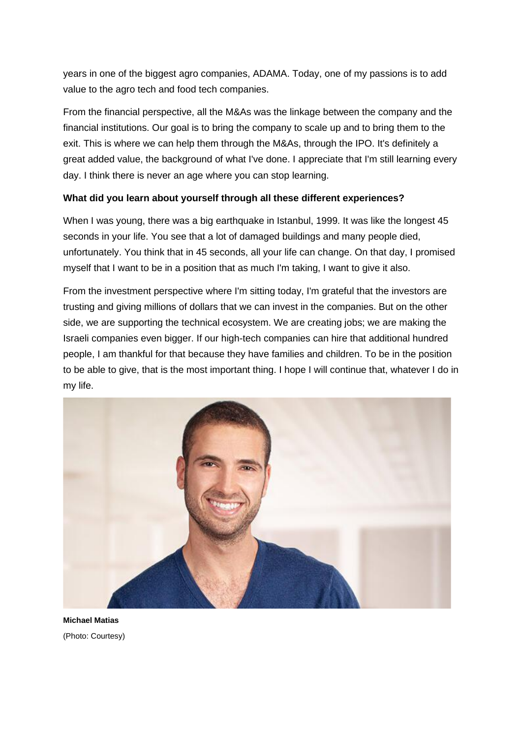years in one of the biggest agro companies, ADAMA. Today, one of my passions is to add value to the agro tech and food tech companies.

From the financial perspective, all the M&As was the linkage between the company and the financial institutions. Our goal is to bring the company to scale up and to bring them to the exit. This is where we can help them through the M&As, through the IPO. It's definitely a great added value, the background of what I've done. I appreciate that I'm still learning every day. I think there is never an age where you can stop learning.

## **What did you learn about yourself through all these different experiences?**

When I was young, there was a big earthquake in Istanbul, 1999. It was like the longest 45 seconds in your life. You see that a lot of damaged buildings and many people died, unfortunately. You think that in 45 seconds, all your life can change. On that day, I promised myself that I want to be in a position that as much I'm taking, I want to give it also.

From the investment perspective where I'm sitting today, I'm grateful that the investors are trusting and giving millions of dollars that we can invest in the companies. But on the other side, we are supporting the technical ecosystem. We are creating jobs; we are making the Israeli companies even bigger. If our high-tech companies can hire that additional hundred people, I am thankful for that because they have families and children. To be in the position to be able to give, that is the most important thing. I hope I will continue that, whatever I do in my life.



**Michael Matias** (Photo: Courtesy)